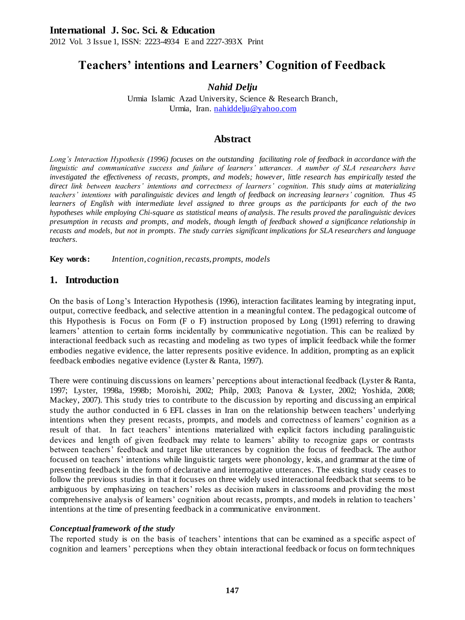# **Teachers' intentions and Learners' Cognition of Feedback**

# *Nahid Delju*

Urmia Islamic Azad University, Science & Research Branch, Urmia, Iran. [nahiddelju@yahoo.com](mailto:nahiddelju@yahoo.com)

# **Abstract**

*Long's Interaction Hypothesis (1996) focuses on the outstanding facilitating role of feedback in accordance with the linguistic and communicative success and failure of learners' utterances. A number of SLA researchers have investigated the effectiveness of recasts, prompts, and models; howev er, little research has empirically tested the direct link between teachers' intentions and correctness of learners' cognition. This study aims at materializing teachers' intentions with paralinguistic devices and length of feedback on increasing learners' cognition. Thus 45 learners of English with intermediate level assigned to three groups as the participants for each of the two hypotheses while employing Chi-square as statistical means of analysis. The results proved the paralinguistic devices presumption in recasts and prompts, and models, though length of feedback showed a significance relationship in recasts and models, but not in prompts. The study carries significant implications for SLA researchers and language teachers.*

**Key words:** *Intention, cognition, recasts, prompts, models*

# **1. Introduction**

On the basis of Long's Interaction Hypothesis (1996), interaction facilitates learning by integrating input, output, corrective feedback, and selective attention in a meaningful context. The pedagogical outcome of this Hypothesis is Focus on Form (F o F) instruction proposed by Long (1991) referring to drawing learners' attention to certain forms incidentally by communicative negotiation. This can be realized by interactional feedback such as recasting and modeling as two types of implicit feedback while the former embodies negative evidence, the latter represents positive evidence. In addition, prompting as an explicit feedback embodies negative evidence (Lyster & Ranta, 1997).

There were continuing discussions on learners' perceptions about interactional feedback (Lyster & Ranta, 1997; Lyster, 1998a, 1998b; Moroishi, 2002; Philp, 2003; Panova & Lyster, 2002; Yoshida, 2008; Mackey, 2007). This study tries to contribute to the discussion by reporting and discussing an empirical study the author conducted in 6 EFL classes in Iran on the relationship between teachers' underlying intentions when they present recasts, prompts, and models and correctness of learners' cognition as a result of that. In fact teachers' intentions materialized with explicit factors including paralinguistic devices and length of given feedback may relate to learners' ability to recognize gaps or contrasts between teachers' feedback and target like utterances by cognition the focus of feedback. The author focused on teachers' intentions while linguistic targets were phonology, lexis, and grammar at the time of presenting feedback in the form of declarative and interrogative utterances. The existing study ceases to follow the previous studies in that it focuses on three widely used interactional feedback that seems to be ambiguous by emphasizing on teachers' roles as decision makers in classrooms and providing the most comprehensive analysis of learners' cognition about recasts, prompts, and models in relation to teachers' intentions at the time of presenting feedback in a communicative environment.

#### *Conceptual framework of the study*

The reported study is on the basis of teachers' intentions that can be examined as a specific aspect of cognition and learners' perceptions when they obtain interactional feedback or focus on form techniques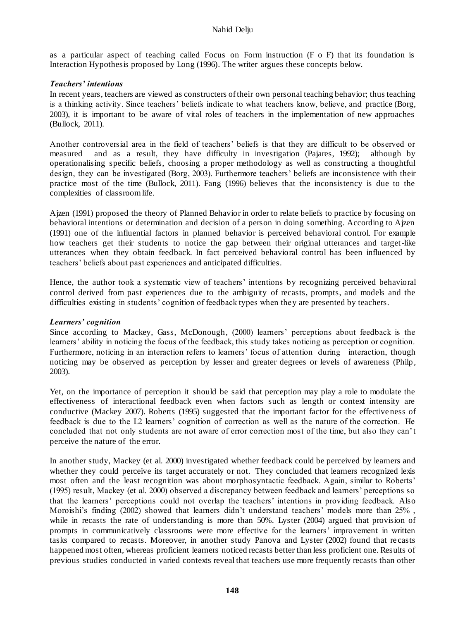as a particular aspect of teaching called Focus on Form instruction (F o F) that its foundation is Interaction Hypothesis proposed by Long (1996). The writer argues these concepts below.

#### *Teachers' intentions*

In recent years, teachers are viewed as constructers of their own personal teaching behavior; thus teaching is a thinking activity. Since teachers' beliefs indicate to what teachers know, believe, and practice (Borg, 2003), it is important to be aware of vital roles of teachers in the implementation of new approaches (Bullock, 2011).

Another controversial area in the field of teachers' beliefs is that they are difficult to be observed or measured and as a result, they have difficulty in investigation (Pajares, 1992); although by operationalising specific beliefs, choosing a proper methodology as well as constructing a thoughtful design, they can be investigated (Borg, 2003). Furthermore teachers' beliefs are inconsistence with their practice most of the time (Bullock, 2011). Fang (1996) believes that the inconsistency is due to the complexities of classroom life.

Ajzen (1991) proposed the theory of Planned Behavior in order to relate beliefs to practice by focusing on behavioral intentions or determination and decision of a person in doing something. According to Ajzen (1991) one of the influential factors in planned behavior is perceived behavioral control. For example how teachers get their students to notice the gap between their original utterances and target-like utterances when they obtain feedback. In fact perceived behavioral control has been influenced by teachers' beliefs about past experiences and anticipated difficulties.

Hence, the author took a systematic view of teachers' intentions by recognizing perceived behavioral control derived from past experiences due to the ambiguity of recasts, prompts, and models and the difficulties existing in students' cognition of feedback types when they are presented by teachers.

#### *Learners' cognition*

Since according to Mackey, Gass, McDonough, (2000) learners' perceptions about feedback is the learners' ability in noticing the focus of the feedback, this study takes noticing as perception or cognition. Furthermore, noticing in an interaction refers to learners' focus of attention during interaction, though noticing may be observed as perception by lesser and greater degrees or levels of awareness (Philp, 2003).

Yet, on the importance of perception it should be said that perception may play a role to modulate the effectiveness of interactional feedback even when factors such as length or context intensity are conductive (Mackey 2007). Roberts (1995) suggested that the important factor for the effectiveness of feedback is due to the L2 learners' cognition of correction as well as the nature of the correction. He concluded that not only students are not aware of error correction most of the time, but also they can't perceive the nature of the error.

In another study, Mackey (et al. 2000) investigated whether feedback could be perceived by learners and whether they could perceive its target accurately or not. They concluded that learners recognized lexis most often and the least recognition was about morphosyntactic feedback. Again, similar to Roberts' (1995) result, Mackey (et al. 2000) observed a discrepancy between feedback and learners' perceptions so that the learners' perceptions could not overlap the teachers' intentions in providing feedback. Also Moroishi's finding (2002) showed that learners didn't understand teachers' models more than 25%, while in recasts the rate of understanding is more than 50%. Lyster (2004) argued that provision of prompts in communicatively classrooms were more effective for the learners' improvement in written tasks compared to recasts. Moreover, in another study Panova and Lyster (2002) found that re casts happened most often, whereas proficient learners noticed recasts better than less proficient one. Results of previous studies conducted in varied contexts reveal that teachers use more frequently recasts than other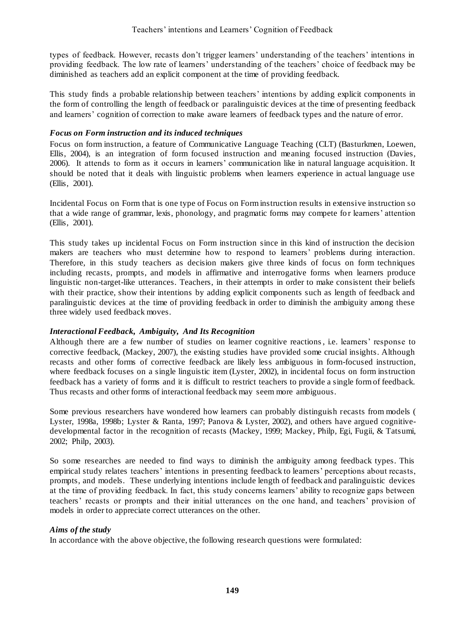types of feedback. However, recasts don't trigger learners' understanding of the teachers' intentions in providing feedback. The low rate of learners' understanding of the teachers' choice of feedback may be diminished as teachers add an explicit component at the time of providing feedback.

This study finds a probable relationship between teachers' intentions by adding explicit components in the form of controlling the length of feedback or paralinguistic devices at the time of presenting feedback and learners' cognition of correction to make aware learners of feedback types and the nature of error.

### *Focus on Form instruction and its induced techniques*

Focus on form instruction, a feature of Communicative Language Teaching (CLT) (Basturkmen, Loewen, Ellis, 2004), is an integration of form focused instruction and meaning focused instruction (Davies, 2006). It attends to form as it occurs in learners' communication like in natural language acquisition. It should be noted that it deals with linguistic problems when learners experience in actual language use (Ellis, 2001).

Incidental Focus on Form that is one type of Focus on Form instruction results in extensive instruction so that a wide range of grammar, lexis, phonology, and pragmatic forms may compete fo r learners' attention (Ellis, 2001).

This study takes up incidental Focus on Form instruction since in this kind of instruction the decision makers are teachers who must determine how to respond to learners' problems during interaction. Therefore, in this study teachers as decision makers give three kinds of focus on form techniques including recasts, prompts, and models in affirmative and interrogative forms when learners produce linguistic non-target-like utterances. Teachers, in their attempts in order to make consistent their beliefs with their practice, show their intentions by adding explicit components such as length of feedback and paralinguistic devices at the time of providing feedback in order to diminish the ambiguity among these three widely used feedback moves.

# *Interactional Feedback, Ambiguity, And Its Recognition*

Although there are a few number of studies on learner cognitive reactions, i.e. learners' response to corrective feedback, (Mackey, 2007), the existing studies have provided some crucial insights. Although recasts and other forms of corrective feedback are likely less ambiguous in form-focused instruction, where feedback focuses on a single linguistic item (Lyster, 2002), in incidental focus on form instruction feedback has a variety of forms and it is difficult to restrict teachers to provide a single form of feedback. Thus recasts and other forms of interactional feedback may seem more ambiguous.

Some previous researchers have wondered how learners can probably distinguish recasts from models ( Lyster, 1998a, 1998b; Lyster & Ranta, 1997; Panova & Lyster, 2002), and others have argued cognitivedevelopmental factor in the recognition of recasts (Mackey, 1999; Mackey, Philp, Egi, Fugii, & Tatsumi, 2002; Philp, 2003).

So some researches are needed to find ways to diminish the ambiguity among feedback types. This empirical study relates teachers' intentions in presenting feedback to learners' perceptions about recasts, prompts, and models. These underlying intentions include length of feedback and paralinguistic devices at the time of providing feedback. In fact, this study concerns learners' ability to recognize gaps between teachers' recasts or prompts and their initial utterances on the one hand, and teachers' provision of models in order to appreciate correct utterances on the other.

#### *Aims of the study*

In accordance with the above objective, the following research questions were formulated: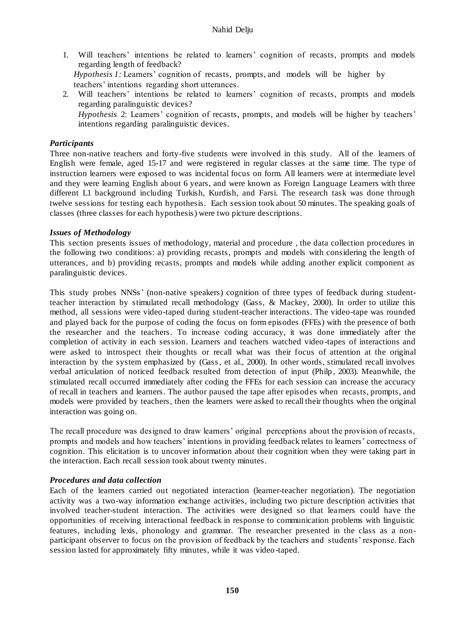- 1. Will teachers' intentions be related to learners' cognition of recasts, prompts and models regarding length of feedback? *Hypothesis 1:* Learners' cognition of recasts, prompts, and models will be higher by teachers' intentions regarding short utterances.
- 2. Will teachers' intentions be related to learners' cognition of recasts, prompts and models regarding paralinguistic devices? *Hypothesis* 2: Learners' cognition of recasts, prompts, and models will be higher by teachers' intentions regarding paralinguistic devices.

#### *Participants*

Three non-native teachers and forty-five students were involved in this study. All of the learners of English were female, aged 15-17 and were registered in regular classes at the same time. The type of instruction learners were exposed to was incidental focus on form. All learners were at intermediate level and they were learning English about 6 years, and were known as Foreign Language Learners with three different L1 background including Turkish, Kurdish, and Farsi. The research task was done through twelve sessions for testing each hypothesis. Each session took about 50 minutes. The speaking goals of classes (three classes for each hypothesis) were two picture descriptions.

#### *Issues of Methodology*

This section presents issues of methodology, material and procedure , the data collection procedures in the following two conditions: a) providing recasts, prompts and models with considering the length of utterances, and b) providing recasts, prompts and models while adding another explicit component as paralinguistic devices.

This study probes NNSs' (non-native speakers) cognition of three types of feedback during studentteacher interaction by stimulated recall methodology (Gass, & Mackey, 2000). In order to utilize this method, all sessions were video-taped during student-teacher interactions. The video-tape was rounded and played back for the purpose of coding the focus on form episodes (FFEs) with the presence of both the researcher and the teachers. To increase coding accuracy, it was done immediately after the completion of activity in each session. Learners and teachers watched video -tapes of interactions and were asked to introspect their thoughts or recall what was their focus of attention at the original interaction by the system emphasized by (Gass, et al., 2000). In other words, stimulated recall involves verbal articulation of noticed feedback resulted from detection of input (Philp , 2003). Meanwhile, the stimulated recall occurred immediately after coding the FFEs for each session can increase the accuracy of recall in teachers and learners. The author paused the tape after episod es when recasts, prompts, and models were provided by teachers, then the learners were asked to recall their thoughts when the original interaction was going on.

The recall procedure was designed to draw learners' original perceptions about the provision of recasts, prompts and models and how teachers' intentions in providing feedback relates to learners' correctness of cognition. This elicitation is to uncover information about their cognition when they were taking part in the interaction. Each recall session took about twenty minutes.

#### *Procedures and data collection*

Each of the learners carried out negotiated interaction (learner-teacher negotiation). The negotiation activity was a two-way information exchange activities, including two picture description activities that involved teacher-student interaction. The activities were designed so that learners could have the opportunities of receiving interactional feedback in response to communication problems with linguistic features, including lexis, phonology and grammar. The researcher presented in the class as a nonparticipant observer to focus on the provision of feedback by the teachers and students' response. Each session lasted for approximately fifty minutes, while it was video-taped.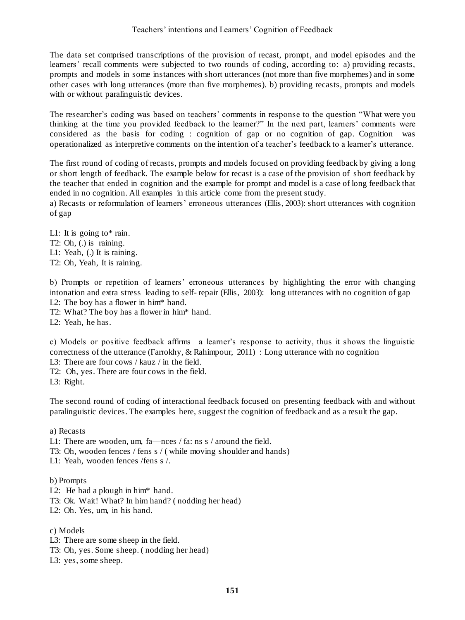The data set comprised transcriptions of the provision of recast, prompt, and model episodes and the learners' recall comments were subjected to two rounds of coding, according to: a) providing recasts, prompts and models in some instances with short utterances (not more than five morphemes) and in some other cases with long utterances (more than five morphemes). b) providing recasts, prompts and models with or without paralinguistic devices.

The researcher's coding was based on teachers' comments in response to the question "What were you thinking at the time you provided feedback to the learner?" In the next part, learners' comments were considered as the basis for coding : cognition of gap or no cognition of gap. Cognition was operationalized as interpretive comments on the intention of a teacher's feedback to a learner's utterance.

The first round of coding of recasts, prompts and models focused on providing feedback by giving a long or short length of feedback. The example below for recast is a case of the provision of short feedback by the teacher that ended in cognition and the example for prompt and model is a case of long feedback that ended in no cognition. All examples in this article come from the present study.

a) Recasts or reformulation of learners' erroneous utterances (Ellis, 2003): short utterances with cognition of gap

L1: It is going to\* rain. T2: Oh, (.) is raining. L1: Yeah, (.) It is raining. T2: Oh, Yeah, It is raining.

b) Prompts or repetition of learners' erroneous utterances by highlighting the error with changing intonation and extra stress leading to self- repair (Ellis, 2003): long utterances with no cognition of gap L2: The boy has a flower in him\* hand.

T2: What? The boy has a flower in him\* hand.

L2: Yeah, he has.

c) Models or positive feedback affirms a learner's response to activity, thus it shows the linguistic correctness of the utterance (Farrokhy, & Rahimpour, 2011) : Long utterance with no cognition L3: There are four cows / kauz / in the field.

T2: Oh, yes. There are four cows in the field.

L3: Right.

The second round of coding of interactional feedback focused on presenting feedback with and without paralinguistic devices. The examples here, suggest the cognition of feedback and as a result the gap.

a) Recasts

L1: There are wooden, um, fa—nces / fa: ns s / around the field.

T3: Oh, wooden fences / fens s / ( while moving shoulder and hands)

L1: Yeah, wooden fences /fens s /.

#### b) Prompts

- L2: He had a plough in him\* hand.
- T3: Ok. Wait! What? In him hand? ( nodding her head)
- L2: Oh. Yes, um, in his hand.

#### c) Models

- L3: There are some sheep in the field.
- T3: Oh, yes. Some sheep. ( nodding her head)
- L3: yes, some sheep.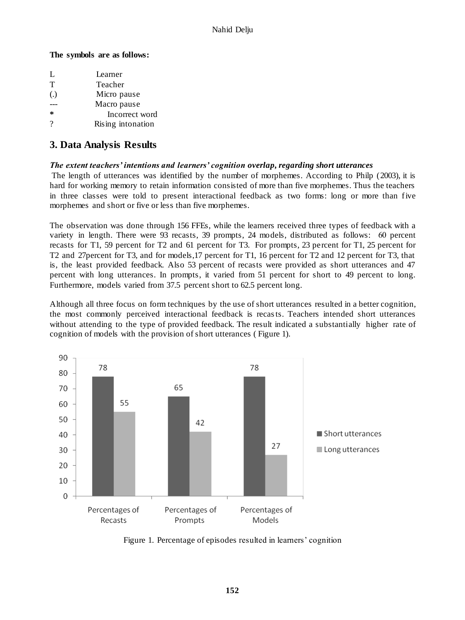#### **The symbols are as follows:**

| Ι.                | Learner           |
|-------------------|-------------------|
| $\mathsf{T}$      | Teacher           |
| $\left( .\right)$ | Micro pause       |
|                   | Macro pause       |
| *                 | Incorrect word    |
| ?                 | Rising intonation |

# **3. Data Analysis Results**

### *The extent teachers' intentions and learners' cognition overlap, regarding short utterances*

The length of utterances was identified by the number of morphemes. According to Philp (2003), it is hard for working memory to retain information consisted of more than five morphemes. Thus the teachers in three classes were told to present interactional feedback as two forms: long or more than five morphemes and short or five or less than five morphemes.

The observation was done through 156 FFEs, while the learners received three types of feedback with a variety in length. There were 93 recasts, 39 prompts, 24 models, distributed as follows: 06 percent recasts for T1, 59 percent for T2 and 61 percent for T3. For prompts, 23 percent for T1, 25 percent for T2 and 27percent for T3, and for models,17 percent for T1, 16 percent for T2 and 12 percent for T3, that is, the least provided feedback. Also 53 percent of recasts were provided as short utterances and 47 percent with long utterances. In prompts, it varied from 51 percent for short to 49 percent to long. Furthermore, models varied from 37.5 percent short to 62.5 percent long.

Although all three focus on form techniques by the use of short utterances resulted in a better cognition, the most commonly perceived interactional feedback is recasts. Teachers intended short utterances without attending to the type of provided feedback. The result indicated a substantially higher rate of cognition of models with the provision of short utterances ( Figure 1).



Figure 1. Percentage of episodes resulted in learners' cognition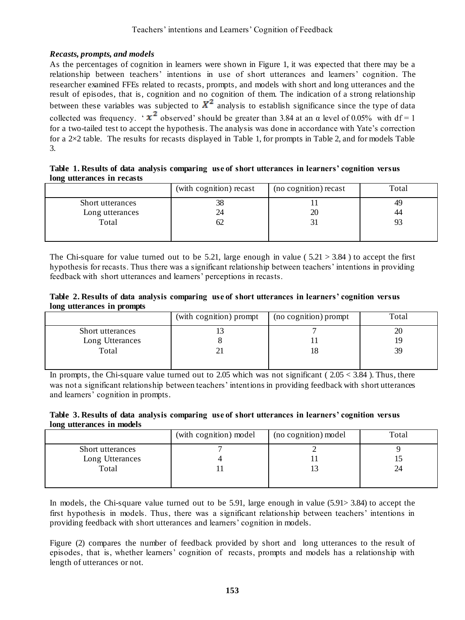### *Recasts, prompts, and models*

As the percentages of cognition in learners were shown in Figure 1, it was expected that there may be a relationship between teachers' intentions in use of short utterances and learners' cognition. The researcher examined FFEs related to recasts, prompts, and models with short and long utterances and the result of episodes, that is, cognition and no cognition of them. The indication of a strong relationship between these variables was subjected to  $X^2$  analysis to establish significance since the type of data collected was frequency. '  $x^2$  observed' should be greater than 3.84 at an  $\alpha$  level of 0.05% with df = 1 for a two-tailed test to accept the hypothesis. The analysis was done in accordance with Yate's correction for a 2×2 table. The results for recasts displayed in Table 1, for prompts in Table 2, and for models Table 3.

#### **Table 1. Results of data analysis comparing use of short utterances in learners' cognition versus long utterances in recasts**

|    | 49 |
|----|----|
|    |    |
| 20 | 44 |
|    |    |
|    |    |
|    |    |

The Chi-square for value turned out to be 5.21, large enough in value ( $5.21 > 3.84$ ) to accept the first hypothesis for recasts. Thus there was a significant relationship between teachers' intentions in providing feedback with short utterances and learners' perceptions in recasts.

|                            | Table 2. Results of data analysis comparing use of short utterances in learners' cognition versus |
|----------------------------|---------------------------------------------------------------------------------------------------|
| long utterances in prompts |                                                                                                   |

|                  | (with cognition) prompt | (no cognition) prompt | Total |
|------------------|-------------------------|-----------------------|-------|
| Short utterances |                         |                       | 20    |
| Long Utterances  |                         |                       | ıч    |
| Total            |                         |                       | 39    |
|                  |                         |                       |       |

In prompts, the Chi-square value turned out to 2.05 which was not significant ( $2.05 < 3.84$ ). Thus, there was not a significant relationship between teachers' intentions in providing feedback with short utterances and learners' cognition in prompts.

#### **Table 3. Results of data analysis comparing use of short utterances in learners' cognition versus long utterances in models**

| (with cognition) model | (no cognition) model | Total |
|------------------------|----------------------|-------|
|                        |                      |       |
|                        |                      |       |
|                        |                      | 24    |
|                        |                      |       |
|                        |                      |       |

In models, the Chi-square value turned out to be 5.91, large enough in value (5.91> 3.84) to accept the first hypothesis in models. Thus, there was a significant relationship between teachers' intentions in providing feedback with short utterances and learners' cognition in models.

Figure (2) compares the number of feedback provided by short and long utterances to the result of episodes, that is, whether learners' cognition of recasts, prompts and models has a relationship with length of utterances or not.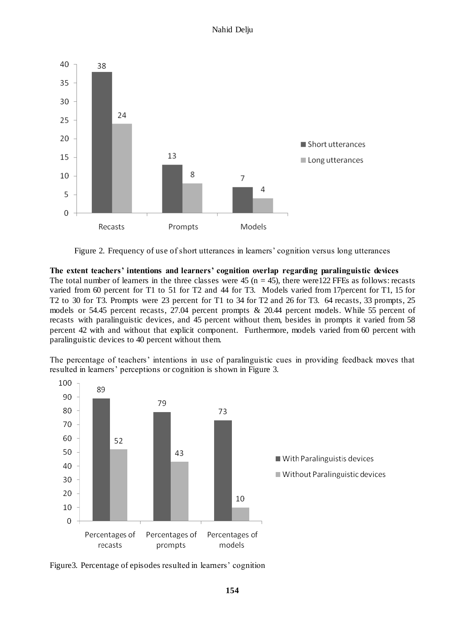

Figure 2. Frequency of use of short utterances in learners' cognition versus long utterances

**The extent teachers' intentions and learners' cognition overlap regarding paralinguistic devices** The total number of learners in the three classes were  $45$  (n =  $45$ ), there were 122 FFEs as follows: recasts varied from 60 percent for T1 to 51 for T2 and 44 for T3. Models varied from 17percent for T1, 15 for T2 to 30 for T3. Prompts were 23 percent for T1 to 34 for T2 and 26 for T3. 64 recasts, 33 prompts, 25 models or 54.45 percent recasts, 27.04 percent prompts & 20.44 percent models. While 55 percent of recasts with paralinguistic devices, and 45 percent without them, besides in prompts it varied from 58 percent 42 with and without that explicit component. Furthermore, models varied from 60 percent with paralinguistic devices to 40 percent without them.

The percentage of teachers' intentions in use of paralinguistic cues in providing feedback moves that resulted in learners' perceptions or cognition is shown in Figure 3.



Figure3. Percentage of episodes resulted in learners' cognition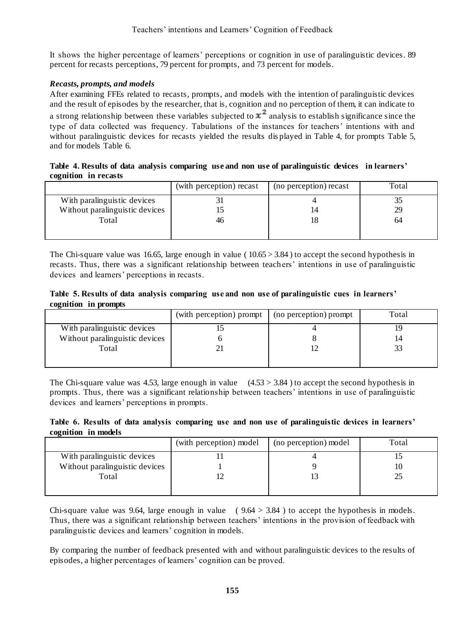It shows the higher percentage of learners' perceptions or cognition in use of paralinguistic devices. 89 percent for recasts perceptions, 79 percent for prompts, and 73 percent for models.

### *Recasts, prompts, and models*

After examining FFEs related to recasts, prompts, and models with the intention of paralinguistic devices and the result of episodes by the researcher, that is, cognition and no perception of them, it can indicate to a strong relationship between these variables subjected to  $x^2$  analysis to establish significance since the type of data collected was frequency. Tabulations of the instances for teachers' intentions with and without paralinguistic devices for recasts yielded the results dis played in Table 4, for prompts Table 5, and for models Table 6.

|                      |  |  |  |  | Table 4. Results of data analysis comparing use and non use of paralinguistic devices in learners' |
|----------------------|--|--|--|--|----------------------------------------------------------------------------------------------------|
| cognition in recasts |  |  |  |  |                                                                                                    |

| (with perception) recast | (no perception) recast | Total |
|--------------------------|------------------------|-------|
|                          |                        |       |
|                          |                        | 29    |
| 46                       |                        | 64    |
|                          |                        |       |
|                          |                        |       |

The Chi-square value was 16.65, large enough in value ( $10.65 > 3.84$ ) to accept the second hypothesis in recasts. Thus, there was a significant relationship between teachers' intentions in use of paralinguistic devices and learners' perceptions in recasts.

#### **Table 5. Results of data analysis comparing use and non use of paralinguistic cues in learners' cognition in prompts**

|                                | (with perception) prompt | (no perception) prompt | Total |
|--------------------------------|--------------------------|------------------------|-------|
| With paralinguistic devices    |                          |                        | 19    |
| Without paralinguistic devices |                          |                        | 14    |
| Total                          |                          |                        |       |
|                                |                          |                        |       |
|                                |                          |                        |       |

The Chi-square value was 4.53, large enough in value  $(4.53 > 3.84)$  to accept the second hypothesis in prompts. Thus, there was a significant relationship between teachers' intentions in use of paralinguistic devices and learners' perceptions in prompts.

|                     |  |  |  | Table 6. Results of data analysis comparing use and non use of paralinguistic devices in learners' |  |  |
|---------------------|--|--|--|----------------------------------------------------------------------------------------------------|--|--|
| cognition in models |  |  |  |                                                                                                    |  |  |

|                                | (with perception) model | (no perception) model | Total |
|--------------------------------|-------------------------|-----------------------|-------|
| With paralinguistic devices    |                         |                       |       |
| Without paralinguistic devices |                         |                       | 10    |
| Total                          |                         |                       |       |
|                                |                         |                       |       |

Chi-square value was 9.64, large enough in value  $(9.64 > 3.84)$  to accept the hypothesis in models. Thus, there was a significant relationship between teachers' intentions in the provision of feedback with paralinguistic devices and learners' cognition in models.

By comparing the number of feedback presented with and without paralinguistic devices to the results of episodes, a higher percentages of learners' cognition can be proved.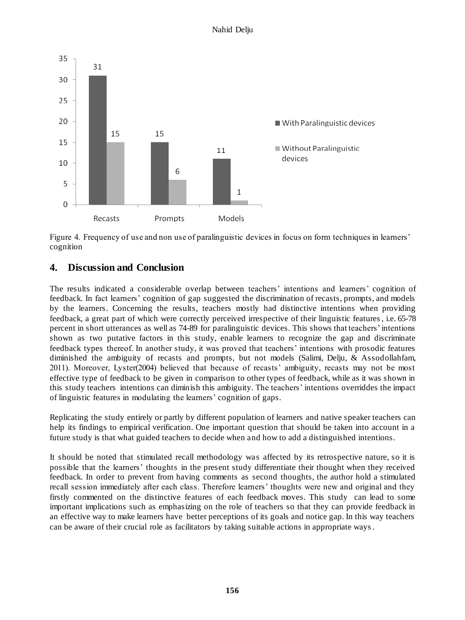

Figure 4. Frequency of use and non use of paralinguistic devices in focus on form techniques in learners' cognition

# **4. Discussion and Conclusion**

The results indicated a considerable overlap between teachers' intentions and learners' cognition of feedback. In fact learners' cognition of gap suggested the discrimination of recasts, prompts, and models by the learners. Concerning the results, teachers mostly had distinctive intentions when providing feedback, a great part of which were correctly perceived irrespective of their linguistic features, i.e. 65-78 percent in short utterances as well as 74-89 for paralinguistic devices. This shows that teachers' intentions shown as two putative factors in this study, enable learners to recognize the gap and discriminate feedback types thereof. In another study, it was proved that teachers' intentions with prosodic features diminished the ambiguity of recasts and prompts, but not models (Salimi, Delju, & Assodollahfam, 2011). Moreover, Lyster(2004) believed that because of recasts' ambiguity, recasts may not be most effective type of feedback to be given in comparison to other types of feedback, while as it was shown in this study teachers intentions can diminish this ambiguity. The teachers' intentions overriddes the impact of linguistic features in modulating the learners' cognition of gaps.

Replicating the study entirely or partly by different population of learners and native speaker teachers can help its findings to empirical verification. One important question that should be taken into account in a future study is that what guided teachers to decide when and how to add a distinguished intentions.

It should be noted that stimulated recall methodology was affected by its retrospective nature, so it is possible that the learners' thoughts in the present study differentiate their thought when they received feedback. In order to prevent from having comments as second thoughts, the author hold a stimulated recall session immediately after each class. Therefore learners' thoughts were new and original and they firstly commented on the distinctive features of each feedback moves. This study can lead to some important implications such as emphasizing on the role of teachers so that they can provide feedback in an effective way to make learners have better perceptions of its goals and notice gap. In this way teachers can be aware of their crucial role as facilitators by taking suitable actions in appropriate ways.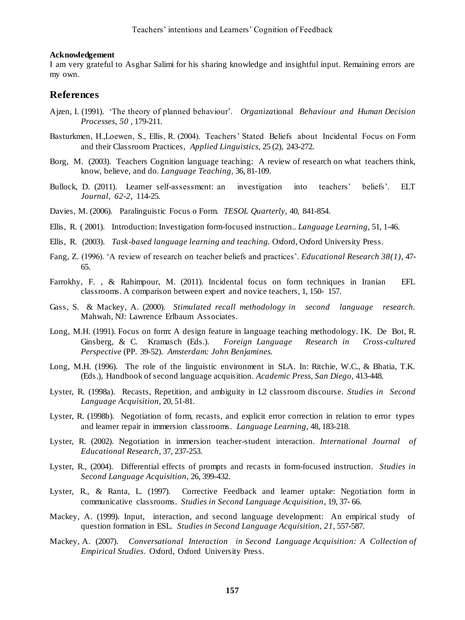#### **Acknowledgement**

I am very grateful to Asghar Salimi for his sharing knowledge and insightful input. Remaining errors are my own.

#### **References**

- Ajzen, I. (1991).'The theory of planned behaviour'. *Organiza*tional *Behaviour and Human Decision Processes, 50* , 179-211.
- Basturkmen, H.,Loewen, S., Ellis, R. (2004). Teachers' Stated Beliefs about Incidental Focus on Form and their Classroom Practices, *Applied Linguistics,* 25 (2), 243-272.
- Borg, M. (2003). Teachers Cognition language teaching: A review of research on what teachers think, know, believe, and do. *Language Teaching,* 36, 81-109.
- Bullock, D. (2011). Learner self-assessment: an investigation into teachers' beliefs'. ELT *Journal, 62-2*, 114-25.
- Davies, M. (2006). Paralinguistic Focus o Form. *TESOL Quarterly,* 40, 841-854.
- Ellis, R. ( 2001). Introduction: Investigation form-focused instruction.. *Language Learning,* 51, 1-46.
- Ellis, R. (2003). *Task-based language learning and teaching.* Oxford, Oxford University Press.
- Fang, Z. (1996). 'A review of research on teacher beliefs and practices'. *Educational Research 38(1),* 47- 65.
- Farrokhy, F. , & Rahimpour, M. (2011). Incidental focus on form techniques in Iranian EFL classrooms. A comparison between expert and novice teachers, 1, 150- 157.
- Gass, S. & Mackey, A. (2000). *Stimulated recall methodology in second language research.* Mahwah, NJ: Lawrence Erlbaum Associates.
- Long, M.H. (1991). Focus on form: A design feature in language teaching methodology. IK. De Bot, R. Ginsberg, & C. Kramasch (Eds.). *Foreign Language Research in Cross-cultured Perspective* (PP. 39-52). *Amsterdam: John Benjamines.*
- Long, M.H. (1996). The role of the linguistic environment in SLA. In: Ritchie, W.C., & Bhatia, T.K. (Eds.), Handbook of second language acquisition. *Academic Press, San Diego,* 413-448.
- Lyster, R. (1998a). Recasts, Repetition, and ambiguity in L2 classroom discourse. *Studies in Second Language Acquisition,* 20, 51-81.
- Lyster, R. (1998b). Negotiation of form, recasts, and explicit error correction in relation to error types and learner repair in immersion classrooms. *Language Learning,* 48, 183-218.
- Lyster, R. (2002). Negotiation in immersion teacher-student interaction. *International Journal of Educational Research,* 37, 237-253.
- Lyster, R., (2004). Differential effects of prompts and recasts in form-focused instruction. *Studies in Second Language Acquisition,* 26, 399-432.
- Lyster, R., & Ranta, L. (1997). Corrective Feedback and learner uptake: Negotiation form in communicative classrooms. *Studies in Second Language Acquisition*, 19, 37- 66.
- Mackey, A. (1999). Input, interaction, and second language development: An empirical study of question formation in ESL. *Studies in Second Language Acquisition, 21,* 557-587.
- Mackey, A. (2007). *Conversational Interaction in Second Language Acquisition: A Collection of Empirical Studies*. Oxford, Oxford University Press.